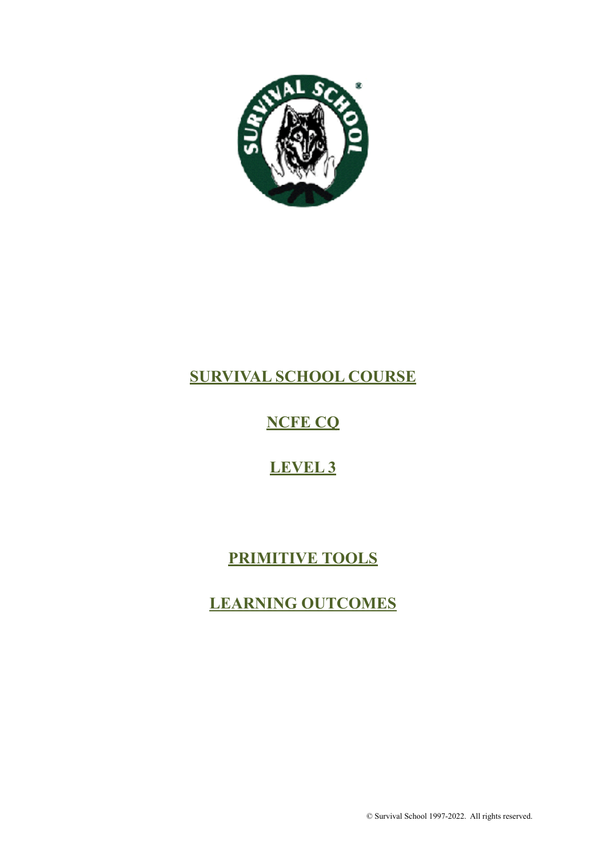

# **SURVIVAL SCHOOL COURSE**

# **NCFE CQ**

# **LEVEL 3**

# **PRIMITIVE TOOLS**

# **LEARNING OUTCOMES**

© Survival School 1997-2022. All rights reserved.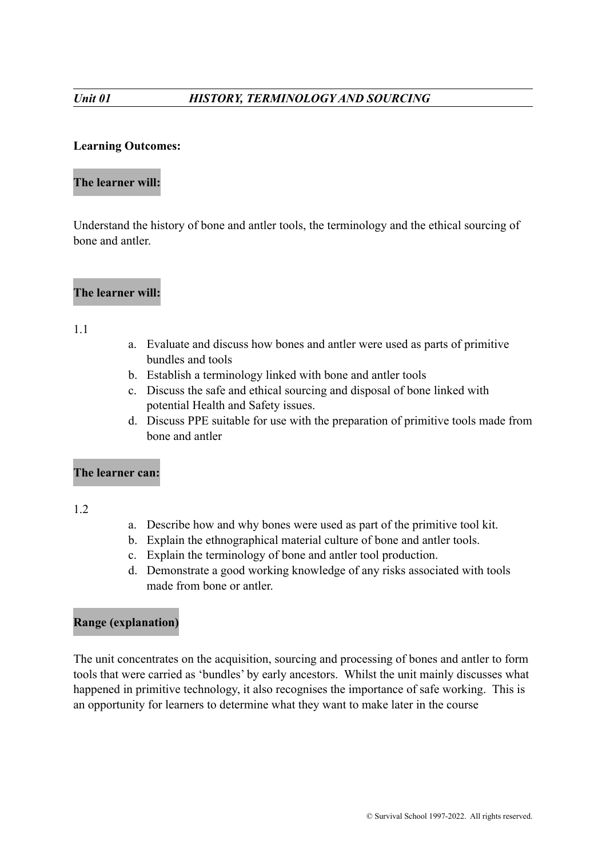# **Learning Outcomes:**

# **The learner will:**

Understand the history of bone and antler tools, the terminology and the ethical sourcing of bone and antler.

# **The learner will:**

#### 1.1

- a. Evaluate and discuss how bones and antler were used as parts of primitive bundles and tools
- b. Establish a terminology linked with bone and antler tools
- c. Discuss the safe and ethical sourcing and disposal of bone linked with potential Health and Safety issues.
- d. Discuss PPE suitable for use with the preparation of primitive tools made from bone and antler

### **The learner can:**

1.2

- a. Describe how and why bones were used as part of the primitive tool kit.
- b. Explain the ethnographical material culture of bone and antler tools.
- c. Explain the terminology of bone and antler tool production.
- d. Demonstrate a good working knowledge of any risks associated with tools made from bone or antler.

### **Range (explanation)**

The unit concentrates on the acquisition, sourcing and processing of bones and antler to form tools that were carried as 'bundles' by early ancestors. Whilst the unit mainly discusses what happened in primitive technology, it also recognises the importance of safe working. This is an opportunity for learners to determine what they want to make later in the course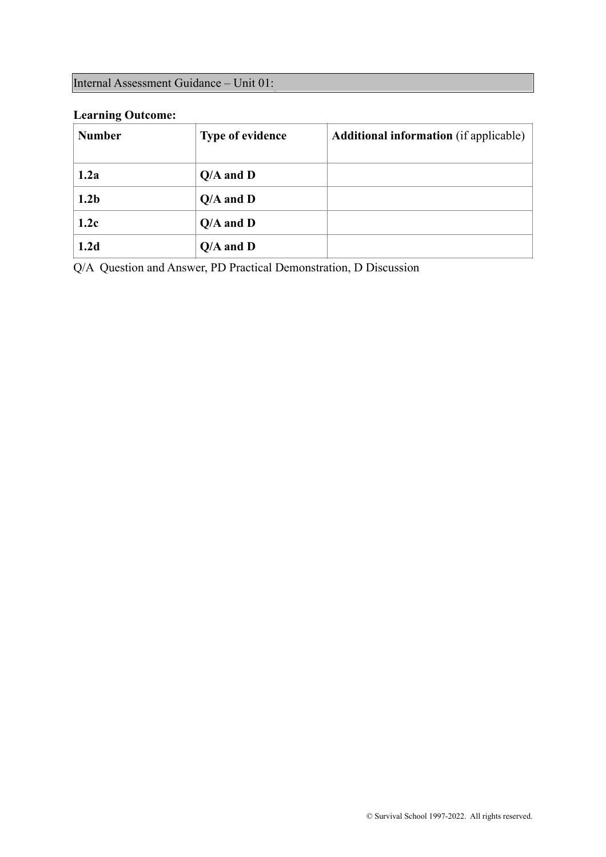# Internal Assessment Guidance – Unit 01:

# **Learning Outcome:**

| <b>Number</b>    | <b>Type of evidence</b> | <b>Additional information</b> (if applicable) |
|------------------|-------------------------|-----------------------------------------------|
| 1.2a             | $Q/A$ and $D$           |                                               |
| 1.2 <sub>b</sub> | $Q/A$ and $D$           |                                               |
| 1.2c             | $Q/A$ and $D$           |                                               |
| 1.2d             | $Q/A$ and $D$           |                                               |

Q/A Question and Answer, PD Practical Demonstration, D Discussion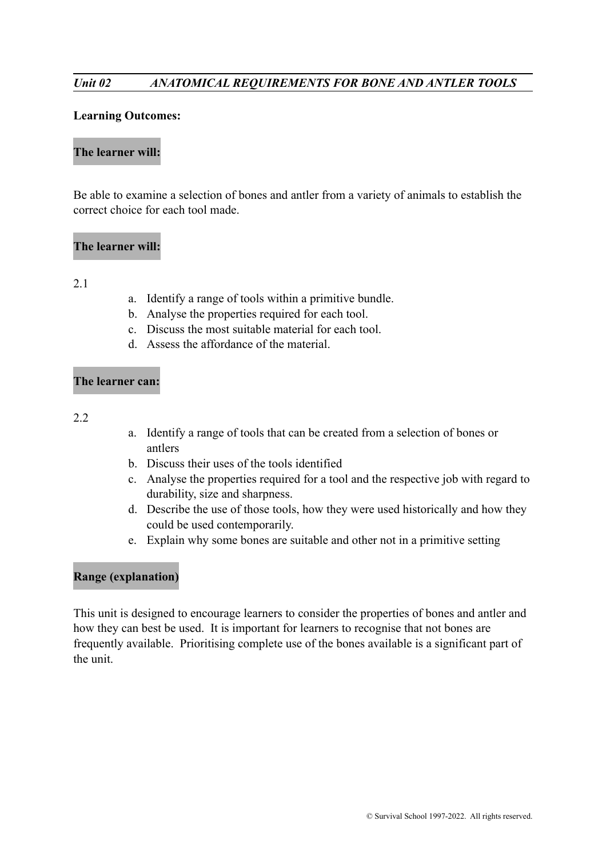# *Unit 02 ANATOMICAL REQUIREMENTS FOR BONE AND ANTLER TOOLS*

#### **Learning Outcomes:**

#### **The learner will:**

Be able to examine a selection of bones and antler from a variety of animals to establish the correct choice for each tool made.

#### **The learner will:**

### 2.1

- a. Identify a range of tools within a primitive bundle.
- b. Analyse the properties required for each tool.
- c. Discuss the most suitable material for each tool.
- d. Assess the affordance of the material.

#### **The learner can:**

#### 2.2

- a. Identify a range of tools that can be created from a selection of bones or antlers
- b. Discuss their uses of the tools identified
- c. Analyse the properties required for a tool and the respective job with regard to durability, size and sharpness.
- d. Describe the use of those tools, how they were used historically and how they could be used contemporarily.
- e. Explain why some bones are suitable and other not in a primitive setting

# **Range (explanation)**

This unit is designed to encourage learners to consider the properties of bones and antler and how they can best be used. It is important for learners to recognise that not bones are frequently available. Prioritising complete use of the bones available is a significant part of the unit.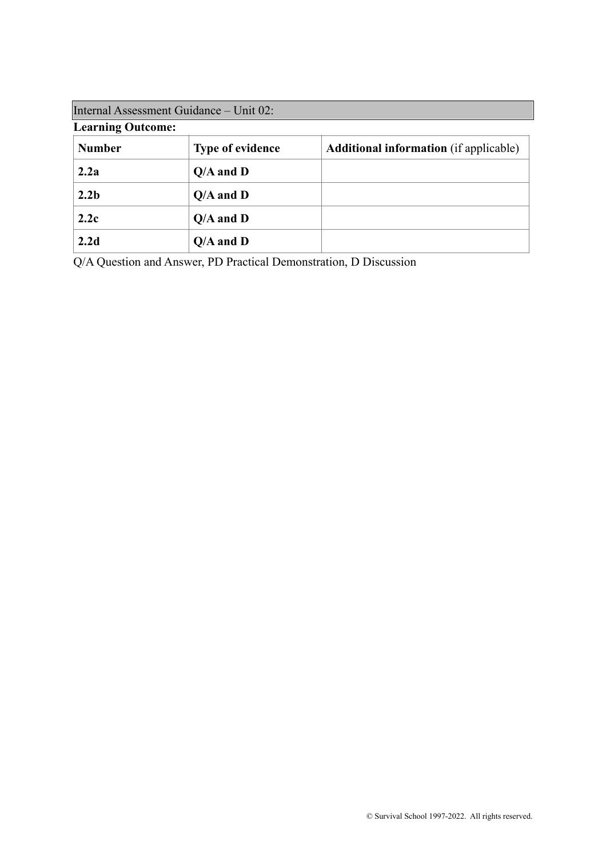| Internal Assessment Guidance – Unit 02: |                         |                                               |
|-----------------------------------------|-------------------------|-----------------------------------------------|
| <b>Learning Outcome:</b>                |                         |                                               |
| <b>Number</b>                           | <b>Type of evidence</b> | <b>Additional information</b> (if applicable) |
| 2.2a                                    | $Q/A$ and $D$           |                                               |
| 2.2 <sub>b</sub>                        | $Q/A$ and $D$           |                                               |
| 2.2c                                    | $Q/A$ and $D$           |                                               |
| 2.2d                                    | $Q/A$ and $D$           |                                               |

Q/A Question and Answer, PD Practical Demonstration, D Discussion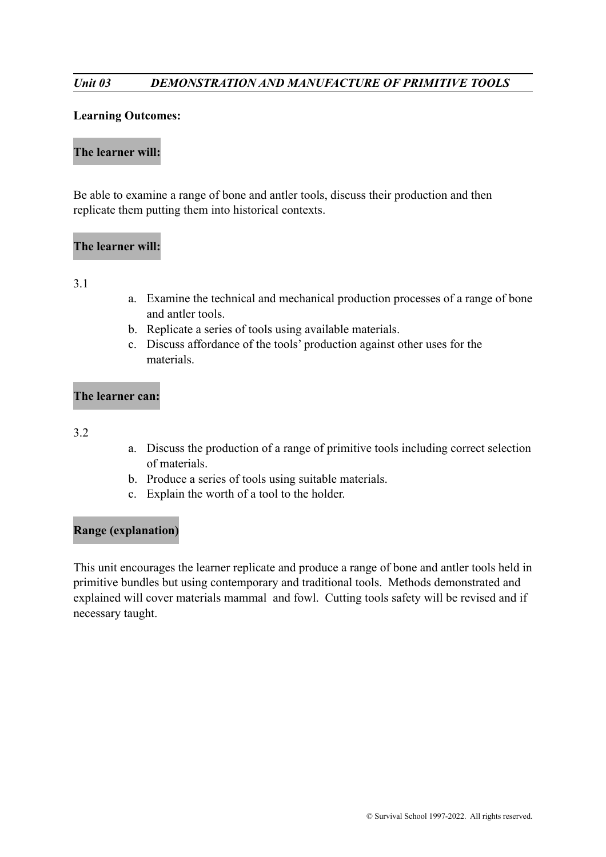# *Unit 03 DEMONSTRATION AND MANUFACTURE OF PRIMITIVE TOOLS*

#### **Learning Outcomes:**

#### **The learner will:**

Be able to examine a range of bone and antler tools, discuss their production and then replicate them putting them into historical contexts.

### **The learner will:**

#### 3.1

- a. Examine the technical and mechanical production processes of a range of bone and antler tools.
- b. Replicate a series of tools using available materials.
- c. Discuss affordance of the tools' production against other uses for the materials.

### **The learner can:**

#### 3.2

- a. Discuss the production of a range of primitive tools including correct selection of materials.
- b. Produce a series of tools using suitable materials.
- c. Explain the worth of a tool to the holder.

### **Range (explanation)**

This unit encourages the learner replicate and produce a range of bone and antler tools held in primitive bundles but using contemporary and traditional tools. Methods demonstrated and explained will cover materials mammal and fowl. Cutting tools safety will be revised and if necessary taught.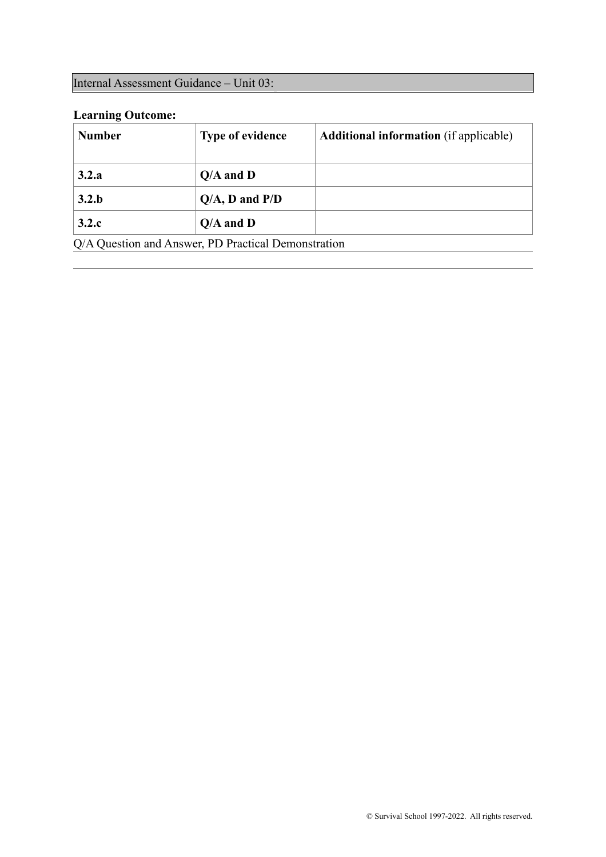# Internal Assessment Guidance – Unit 03:

# **Learning Outcome:**

| <b>Number</b> | <b>Type of evidence</b>                             | <b>Additional information</b> (if applicable) |
|---------------|-----------------------------------------------------|-----------------------------------------------|
| 3.2.a         | $Q/A$ and $D$                                       |                                               |
| 3.2.b         | $Q/A$ , D and $P/D$                                 |                                               |
| 3.2.c         | $Q/A$ and $D$                                       |                                               |
|               | Q/A Question and Answer, PD Practical Demonstration |                                               |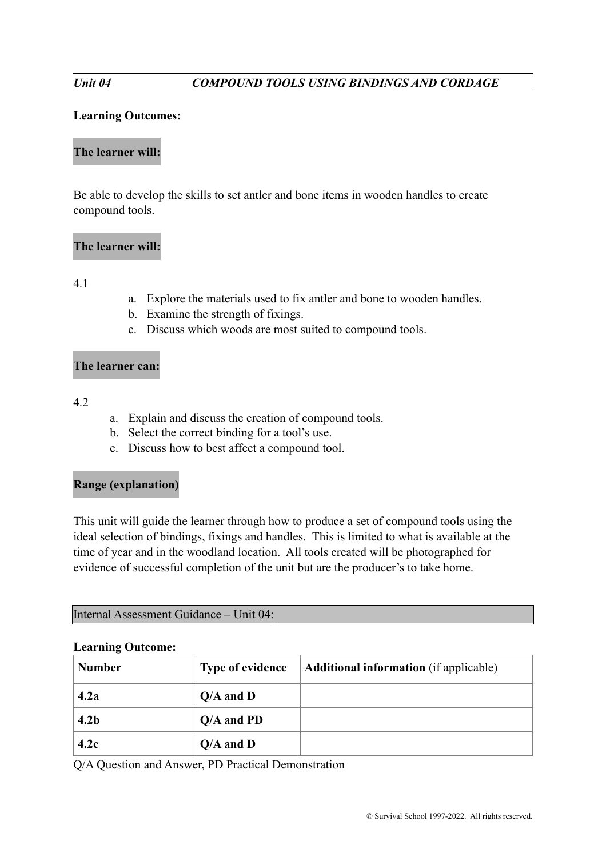### **Learning Outcomes:**

# **The learner will:**

Be able to develop the skills to set antler and bone items in wooden handles to create compound tools.

# **The learner will:**

# 4.1

- a. Explore the materials used to fix antler and bone to wooden handles.
- b. Examine the strength of fixings.
- c. Discuss which woods are most suited to compound tools.

# **The learner can:**

### 4.2

- a. Explain and discuss the creation of compound tools.
- b. Select the correct binding for a tool's use.
- c. Discuss how to best affect a compound tool.

# **Range (explanation)**

This unit will guide the learner through how to produce a set of compound tools using the ideal selection of bindings, fixings and handles. This is limited to what is available at the time of year and in the woodland location. All tools created will be photographed for evidence of successful completion of the unit but are the producer's to take home.

|  |  | Internal Assessment Guidance - Unit 04: |  |  |
|--|--|-----------------------------------------|--|--|
|--|--|-----------------------------------------|--|--|

#### **Learning Outcome:**

| <b>Number</b>    | <b>Type of evidence</b> | <b>Additional information</b> (if applicable) |
|------------------|-------------------------|-----------------------------------------------|
| 4.2a             | $Q/A$ and $D$           |                                               |
| 4.2 <sub>b</sub> | $Q/A$ and PD            |                                               |
| 4.2c             | $Q/A$ and $D$           |                                               |

Q/A Question and Answer, PD Practical Demonstration